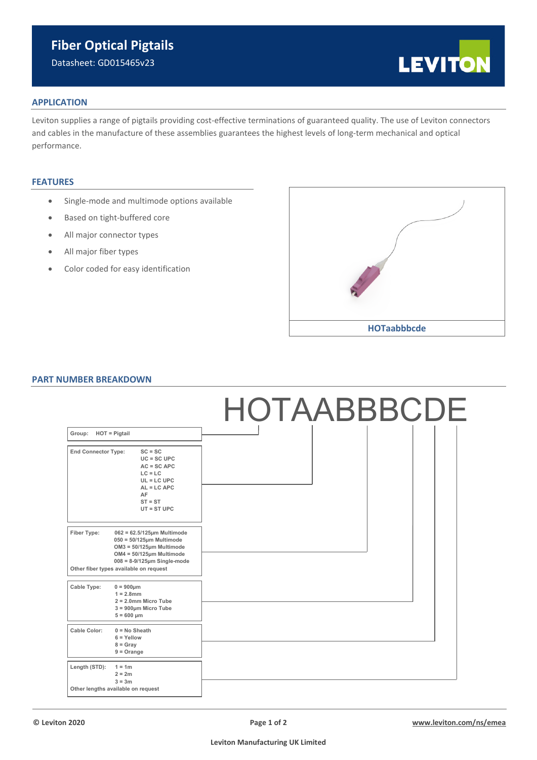# **Fiber Optical Pigtails**

Datasheet: GD015465v23



## **APPLICATION**

Leviton supplies a range of pigtails providing cost-effective terminations of guaranteed quality. The use of Leviton connectors and cables in the manufacture of these assemblies guarantees the highest levels of long-term mechanical and optical performance.

# **FEATURES**

- Single-mode and multimode options available
- Based on tight-buffered core
- All major connector types
- All major fiber types
- Color coded for easy identification



### **PART NUMBER BREAKDOWN**

|                            |                                                                                                                                                                                                                 |  | HOTAABBBCDE |  |  |
|----------------------------|-----------------------------------------------------------------------------------------------------------------------------------------------------------------------------------------------------------------|--|-------------|--|--|
| Group:<br>$HOT =$ Pigtail  |                                                                                                                                                                                                                 |  |             |  |  |
| <b>End Connector Type:</b> | $SC = SC$<br>$UC = SC UPC$<br>$AC = SC$ APC<br>$LC = LC$<br>$UL = LC UPC$<br>$AL = LC APC$<br>AF<br>$ST = ST$<br>$UT = ST UPC$                                                                                  |  |             |  |  |
| Fiber Type:                | $062 = 62.5/125$ µm Multimode<br>$050 = 50/125$ µm Multimode<br>$OM3 = 50/125 \mu m$ Multimode<br>$OM4 = 50/125 \mu m$ Multimode<br>$008 = 8-9/125 \mu m$ Single-mode<br>Other fiber types available on request |  |             |  |  |
| Cable Type:                | $0 = 900 \mu m$<br>$1 = 2.8$ mm<br>$2 = 2.0$ mm Micro Tube<br>$3 = 900 \mu m$ Micro Tube<br>$5 = 600 \mu m$                                                                                                     |  |             |  |  |
| Cable Color:               | $0 = No$ Sheath<br>$6 =$ Yellow<br>$8 =$ Gray<br>$9 = Orange$                                                                                                                                                   |  |             |  |  |
| Length (STD):              | $1 = 1m$<br>$2 = 2m$<br>$3 = 3m$<br>Other lengths available on request                                                                                                                                          |  |             |  |  |